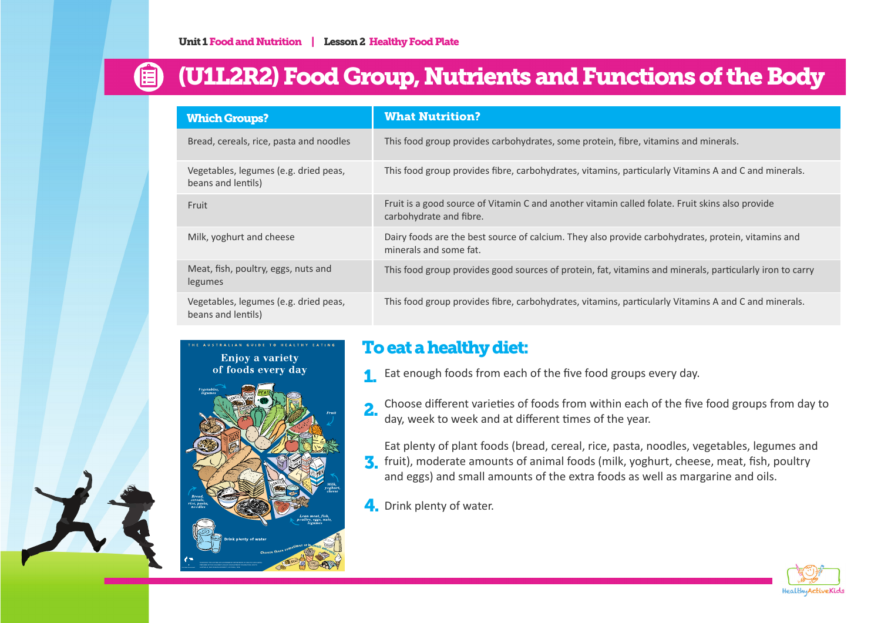## (U1L2R2) Food Group, Nutrients and Functions of the Body

| <b>Which Groups?</b>                                        | <b>What Nutrition?</b>                                                                                                       |
|-------------------------------------------------------------|------------------------------------------------------------------------------------------------------------------------------|
| Bread, cereals, rice, pasta and noodles                     | This food group provides carbohydrates, some protein, fibre, vitamins and minerals.                                          |
| Vegetables, legumes (e.g. dried peas,<br>beans and lentils) | This food group provides fibre, carbohydrates, vitamins, particularly Vitamins A and C and minerals.                         |
| Fruit                                                       | Fruit is a good source of Vitamin C and another vitamin called folate. Fruit skins also provide<br>carbohydrate and fibre.   |
| Milk, yoghurt and cheese                                    | Dairy foods are the best source of calcium. They also provide carbohydrates, protein, vitamins and<br>minerals and some fat. |
| Meat, fish, poultry, eggs, nuts and<br>legumes              | This food group provides good sources of protein, fat, vitamins and minerals, particularly iron to carry                     |
| Vegetables, legumes (e.g. dried peas,<br>beans and lentils) | This food group provides fibre, carbohydrates, vitamins, particularly Vitamins A and C and minerals.                         |

AUSTRALIAN GUIDE TO HEALTHY EATING **Enjoy a variety** of foods every day



## To eat a healthy diet:

- **1.** Eat enough foods from each of the five food groups every day.
- Choose different varieties of foods from within each of the five food groups from day to day, week to week and at different times of the year. 2.
- Eat plenty of plant foods (bread, cereal, rice, pasta, noodles, vegetables, legumes and **3** fruit), moderate amounts of animal foods (milk, yoghurt, cheese, meat, fish, poultry and eggs) and small amounts of the extra foods as well as margarine and oils.
- 4. Drink plenty of water.